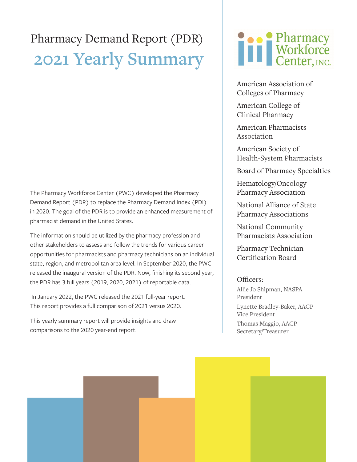# Pharmacy Demand Report (PDR) **2021 Yearly Summary**

The Pharmacy Workforce Center (PWC) developed the Pharmacy Demand Report (PDR) to replace the Pharmacy Demand Index (PDI) in 2020. The goal of the PDR is to provide an enhanced measurement of pharmacist demand in the United States.

The information should be utilized by the pharmacy profession and other stakeholders to assess and follow the trends for various career opportunities for pharmacists and pharmacy technicians on an individual state, region, and metropolitan area level. In September 2020, the PWC released the inaugural version of the PDR. Now, finishing its second year, the PDR has 3 full years (2019, 2020, 2021) of reportable data.

 In January 2022, the PWC released the 2021 full-year report. This report provides a full comparison of 2021 versus 2020.

This yearly summary report will provide insights and draw comparisons to the 2020 year-end report.

# Tharmacy<br>
Morkforce<br>
Center, INC.

American Association of Colleges of Pharmacy

American College of Clinical Pharmacy

American Pharmacists Association

American Society of Health-System Pharmacists

Board of Pharmacy Specialties

Hematology/Oncology Pharmacy Association

National Alliance of State Pharmacy Associations

National Community Pharmacists Association

Pharmacy Technician Certification Board

### Officers:

Allie Jo Shipman, NASPA President Lynette Bradley-Baker, AACP Vice President Thomas Maggio, AACP

Secretary/Treasurer

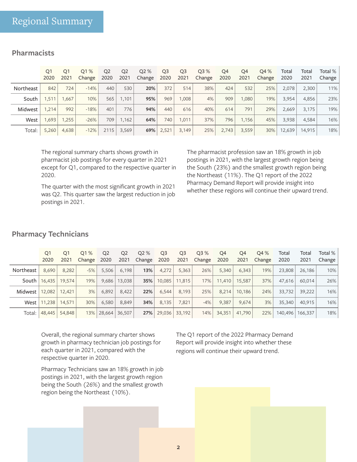### **Pharmacists**

|           | Q <sub>1</sub><br>2020 | Q1<br>2021 | O1 %<br>Change | Q <sub>2</sub><br>2020 | Q <sub>2</sub><br>2021 | Q2 %<br>Change | Q3<br>2020 | Q <sub>3</sub><br>2021 | O <sub>3</sub> %<br>Change | Q4<br>2020 | Q4<br>2021 | O4 %<br>Change | Total<br>2020 | Total<br>2021 | Total %<br>Change |
|-----------|------------------------|------------|----------------|------------------------|------------------------|----------------|------------|------------------------|----------------------------|------------|------------|----------------|---------------|---------------|-------------------|
| Northeast | 842                    | 724        | $-14%$         | 440                    | 530                    | 20%            | 372        | 514                    | 38%                        | 424        | 532        | 25%            | 2,078         | 2,300         | 11%               |
| South     | 1,511                  | 1,667      | 10%            | 565                    | 1,101                  | 95%            | 969        | 1,008                  | 4%                         | 909        | 1,080      | 19%            | 3,954         | 4,856         | 23%               |
| Midwest   | 1,214                  | 992        | $-18%$         | 401                    | 776                    | 94%            | 440        | 616                    | 40%                        | 614        | 791        | 29%            | 2,669         | 3,175         | 19%               |
| West      | 1,693                  | 1,255      | $-26%$         | 709                    | 1,162                  | 64%            | 740        | 1.011                  | 37%                        | 796        | 1,156      | 45%            | 3.938         | 4,584         | 16%               |
| Total:    | 5,260                  | 4,638      | $-12%$         | 2115                   | 3,569                  | 69%            | 2,521      | 3,149                  | 25%                        | 2,743      | 3,559      | $30\%$         | 12,639        | 14,915        | 18%               |

The regional summary charts shows growth in pharmacist job postings for every quarter in 2021 except for Q1, compared to the respective quarter in 2020.

The quarter with the most significant growth in 2021 was Q2. This quarter saw the largest reduction in job postings in 2021.

The pharmacist profession saw an 18% growth in job postings in 2021, with the largest growth region being the South (23%) and the smallest growth region being the Northeast (11%). The Q1 report of the 2022 Pharmacy Demand Report will provide insight into whether these regions will continue their upward trend.

|                           | O1<br>2020           | O1     | O1%<br>2021 Change | O <sub>2</sub><br>2020 | Q <sub>2</sub><br>2021 | O2%<br>Change | Q <sub>3</sub><br>2020       | Q <sub>3</sub><br>2021 | O <sub>3</sub> %<br>Change | O <sub>4</sub><br>2020 | Q4     | O4 %<br>2021 Change | Total<br>2020     | Total<br>2021 | Total %<br>Change |
|---------------------------|----------------------|--------|--------------------|------------------------|------------------------|---------------|------------------------------|------------------------|----------------------------|------------------------|--------|---------------------|-------------------|---------------|-------------------|
| Northeast                 | 8,690                | 8,282  | $-5%$              | 5,506                  | 6,198                  | 13%           | 4,272                        | 5,363                  | 26%                        | 5,340                  | 6,343  | 19%                 | 23,808            | 26,186        | 10%               |
|                           | South 16,435 19,574  |        | 19%                |                        | 9,686 13,038           |               | $35\%$ 10,085 11,815         |                        |                            | 17% 11,410             | 15,587 | 37%                 | 47,616            | 60,014        | 26%               |
| Midwest   12,082   12,421 |                      |        | 3%                 | 6,892                  | 8,422                  | 22%           | 6,544                        | 8,193                  | 25%                        | 8,214                  | 10,186 | 24%                 | 33,732            | 39,222        | 16%               |
|                           | West   11,238        | 14,571 | 30%                | 6,580                  | 8,849                  | 34%           | 8,135                        | 7,821                  | $-4\%$                     | 9,387                  | 9,674  | 3%                  | 35,340            | 40,915        | 16%               |
|                           | Total: 48,445 54,848 |        |                    | 13% 28,664 36,507      |                        |               | <b>27%</b>   29,036   33,192 |                        | 14%                        | 34,351                 | 41,790 | 22%                 | 140,496   166,337 |               | 18%               |

### **Pharmacy Technicians**

Overall, the regional summary charter shows growth in pharmacy technician job postings for each quarter in 2021, compared with the respective quarter in 2020.

Pharmacy Technicians saw an 18% growth in job postings in 2021, with the largest growth region being the South (26%) and the smallest growth region being the Northeast (10%).

The Q1 report of the 2022 Pharmacy Demand Report will provide insight into whether these regions will continue their upward trend.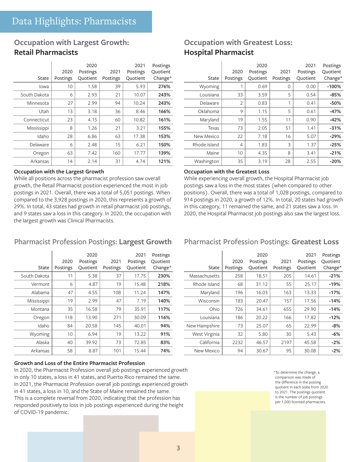### **Occupation with Largest Growth: Retail Pharmacists**

|              | 2020     | 2020<br>Postings | 2021     | 2021<br>Postings | Postings<br>Quotient |
|--------------|----------|------------------|----------|------------------|----------------------|
| State        | Postings | Quotient         | Postings | Quotient         | Change*              |
| lowa         | 10       | 1.58             | 39       | 5.93             | 276%                 |
| South Dakota | 6        | 2.93             | 21       | 10.07            | 243%                 |
| Minnesota    | 27       | 2.99             | 94       | 10.24            | 243%                 |
| Utah         | 13       | 3.18             | 36       | 8.46             | 166%                 |
| Connecticut  | 23       | 4.15             | 60       | 10.82            | 161%                 |
| Mississippi  | 8        | 1.26             | 21       | 3.21             | 155%                 |
| Idaho        | 28       | 6.86             | 63       | 17.38            | 153%                 |
| Delaware     | 6        | 2.48             | 15       | 6.21             | 150%                 |
| Oregon       | 63       | 7.42             | 160      | 17.77            | 139%                 |
| Arkansas     | 14       | 2.14             | 31       | 4.74             | 121%                 |

#### **Occupation with the Largest Growth**

While all positions across the pharmacist profession saw overall growth, the Retail Pharmacist position experienced the most in job postings in 2021. Overall, there was a total of 5,051 postings. When compared to the 3,928 postings in 2020, this represents a growth of 29%. In total, 43 states had growth in retail pharmacist job postings, and 9 states saw a loss in this category. In 2020, the occupation with the largest growth was Clinical Pharmacists.

### **Occupation with Greatest Loss: Hospital Pharmacist**

| State        | 2020<br>Postings | 2020<br>Postings<br>Quotient | 2021<br>Postings | 2021<br>Postings<br>Quotient | Postings<br>Quotient<br>Change* |
|--------------|------------------|------------------------------|------------------|------------------------------|---------------------------------|
| Wyoming      |                  | 0.69                         | 0                | 0.00                         | $-100%$                         |
| Louisiana    | 33               | 3.59                         | 5                | 0.54                         | $-85%$                          |
| Delaware     | 2                | 0.83                         | 1                | 0.41                         | $-50%$                          |
| Oklahoma     | 9                | 1.15                         | 5                | 0.61                         | $-47%$                          |
| Maryland     | 19               | 1.55                         | 11               | 0.90                         | $-42%$                          |
| Texas        | 73               | 2.05                         | 51               | 1.41                         | $-31%$                          |
| New Mexico   | 22               | 7.18                         | 16               | 5.07                         | $-29%$                          |
| Rhode Island | 4                | 1.83                         | 3                | 1.37                         | $-25%$                          |
| Maine        | 10               | 4.35                         | 8                | 3.41                         | $-21%$                          |
| Washington   | 35               | 3.19                         | 28               | 2.55                         | $-20%$                          |

#### **Occupation with the Greatest Loss**

While experiencing overall growth, the Hospital Pharmacist job postings saw a loss in the most states (when compared to other positions). Overall, there was a total of 1,028 postings, compared to 914 postings in 2020, a growth of 12%. In total, 20 states had growth in this category, 11 remained the same, and 21 states saw a loss. In 2020, the Hospital Pharmacist job postings also saw the largest loss.

### Pharmacist Profession Postings: **Largest Growth**

| State        | 2020<br>Postings | 2020<br>Postings<br>Quotient | 2021<br>Postings | 2021<br>Postings<br>Quotient | Postings<br>Quotient<br>Change* |
|--------------|------------------|------------------------------|------------------|------------------------------|---------------------------------|
| South Dakota | 11               | 5.38                         | 37               | 17.75                        | 230%                            |
| Vermont      | 6                | 4.87                         | 19               | 15.48                        | 218%                            |
| Alabama      | 47               | 4.55                         | 108              | 11.24                        | 147%                            |
| Mississippi  | 19               | 2.99                         | 47               | 7.19                         | 140%                            |
| Montana      | 35               | 16.58                        | 79               | 35.91                        | 117%                            |
| Oregon       | 118              | 13.90                        | 271              | 30.09                        | 116%                            |
| Idaho        | 84               | 20.58                        | 145              | 40.01                        | 94%                             |
| Wyoming      | 10               | 6.94                         | 19               | 13.22                        | 91%                             |
| Alaska       | 40               | 39.92                        | 73               | 72.85                        | 83%                             |
| Arkansas     | 58               | 8.87                         | 101              | 15.44                        | 74%                             |

#### **Growth and Loss of the Entire Pharmacist Profession**

In 2020, the Pharmacist Profession overall job postings experienced growth in only 10 states, a loss in 41 states, and Puerto Rico remained the same. In 2021, the Pharmacist Profession overall job postings experienced growth in 41 states, a loss in 10, and the State of Maine remained the same. This is a complete reversal from 2020, indicating that the profession has responded positively to loss in job postings experienced during the height of COVID-19 pandemic.

### Pharmacist Profession Postings: **Greatest Loss**

| State         | 2020<br>Postings | 2020<br>Postings<br>Quotient | 2021<br>Postings | 2021<br>Postings<br>Quotient | Postings<br>Quotient<br>Change* |
|---------------|------------------|------------------------------|------------------|------------------------------|---------------------------------|
| Massachusetts | 258              | 18.51                        | 205              | 14.61                        | $-21%$                          |
| Rhode Island  | 68               | 31.12                        | 55               | 25.17                        | $-19%$                          |
| Maryland      | 196              | 16.03                        | 163              | 13.33                        | $-17%$                          |
| Wisconsin     | 183              | 20.47                        | 157              | 17.56                        | $-14%$                          |
| Ohio          | 726              | 34.61                        | 655              | 29.90                        | $-14%$                          |
| Louisiana     | 186              | 20.22                        | 166              | 17.82                        | $-12%$                          |
| New Hampshire | 73               | 25.07                        | 65               | 22.99                        | $-8%$                           |
| West Virginia | 32               | 5.80                         | 30               | 5.43                         | $-6%$                           |
| California    | 2232             | 46.57                        | 2197             | 45.58                        | $-2%$                           |
| New Mexico    | 94               | 30.67                        | 95               | 30.08                        | $-2%$                           |

\*To determine the change, a comparison was made of the difference in the posting quotient in each state from 2020 to 2021. The postings quotient is the number of job postings per 1,000 licensed pharmacists.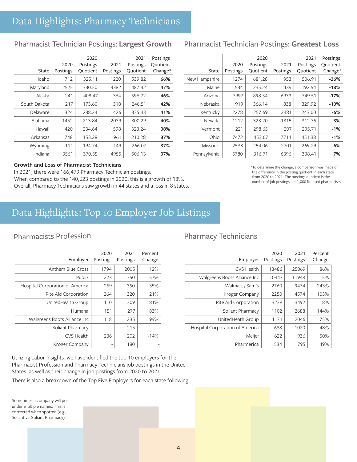### Pharmacist Technician Postings: **Largest Growth**

| State        | 2020<br>Postings | 2020<br>Postings<br>Quotient | 2021<br>Postings | 2021<br>Postings<br>Quotient | Postings<br>Quotient<br>Change* |
|--------------|------------------|------------------------------|------------------|------------------------------|---------------------------------|
| Idaho        | 712              | 325.11                       | 1220             | 539.82                       | 66%                             |
| Maryland     | 2525             | 330.50                       | 3382             | 487.32                       | 47%                             |
| Alaska       | 241              | 408.47                       | 364              | 596.72                       | 46%                             |
| South Dakota | 217              | 173.60                       | 318              | 246.51                       | 42%                             |
| Delaware     | 324              | 238.24                       | 426              | 335.43                       | 41%                             |
| Alabama      | 1452             | 213.84                       | 2039             | 300.29                       | 40%                             |
| Hawaii       | 420              | 234.64                       | 598              | 323.24                       | 38%                             |
| Arkansas     | 748              | 153.28                       | 961              | 210.28                       | 37%                             |
| Wyoming      | 111              | 194.74                       | 149              | 266.07                       | 37%                             |
| Indiana      | 3561             | 370.55                       | 4955             | 506.13                       | 37%                             |

## Pharmacist Technician Postings: **Greatest Loss**

| State         | 2020<br>Postings | 2020<br>Postings<br>Quotient | 2021<br>Postings | 2021<br>Postings<br>Quotient | Postings<br>Quotient<br>Change* |
|---------------|------------------|------------------------------|------------------|------------------------------|---------------------------------|
| New Hampshire | 1274             | 681.28                       | 953              | 506.91                       | $-26%$                          |
| Maine         | 534              | 235.24                       | 439              | 192.54                       | $-18%$                          |
| Arizona       | 7997             | 898.54                       | 6933             | 749.51                       | $-17%$                          |
| Nebraska      | 919              | 366.14                       | 838              | 329.92                       | $-10%$                          |
| Kentucky      | 2278             | 257.69                       | 2481             | 243.00                       | -6%                             |
| Nevada        | 1212             | 323.20                       | 1315             | 312.35                       | -3%                             |
| Vermont       | 221              | 298.65                       | 207              | 295.71                       | $-1%$                           |
| Ohio          | 7472             | 453.67                       | 7714             | 451.38                       | $-1%$                           |
| Missouri      | 2533             | 254.06                       | 2701             | 269.29                       | 6%                              |
| Pennsylvania  | 5780             | 316.71                       | 6396             | 338.41                       | 7%                              |

#### **Growth and Loss of Pharmacist Technicians**

In 2021, there were 166,479 Pharmacy Technician postings. When compared to the 140,623 postings in 2020, this is a growth of 18%. Overall, Pharmacy Technicians saw growth in 44 states and a loss in 8 states. \*To determine the change, a comparison was made of the difference in the posting quotient in each state from 2020 to 2021. The postings quotient is the number of job postings per 1,000 licensed pharmacists.

# Data Highlights: Top 10 Employer Job Listings

### Pharmacists Profession **Pharmacy Technicians**

| Employer                        | 2020<br>Postings | 2021<br>Postings | Percent<br>Change |
|---------------------------------|------------------|------------------|-------------------|
| Anthem Blue Cross               | 1794             | 2005             | 12%               |
| Publix                          | 223              | 350              | 57%               |
| Hospital Corporation of America | 259              | 350              | 35%               |
| Rite Aid Corporation            | 264              | 320              | 21%               |
| UnitedHealth Group              | 110              | 309              | 181%              |
| Humana                          | 151              | 277              | 83%               |
| Walgreens Boots Alliance Inc    | 118              | 235              | 99%               |
| Soliant Pharmacy                |                  | 215              |                   |
| CVS Health                      | 236              | 202              | $-14%$            |
| Kroger Company                  | ۰                | 180              | ٠                 |

| Employer                        | 2020<br>Postings | 2021<br>Postings | Percent<br>Change |
|---------------------------------|------------------|------------------|-------------------|
| CVS Health                      | 13486            | 25069            | 86%               |
| Walgreens Boots Alliance Inc    | 10347            | 11948            | 15%               |
| Walmart / Sam's                 | 2760             | 9474             | 243%              |
| Kroger Company                  | 2250             | 4574             | 103%              |
| Rite Aid Corporation            | 3239             | 3492             | 8%                |
| Soliant Pharmacy                | 1102             | 2688             | 144%              |
| UnitedHeath Group               | 1171             | 2046             | 75%               |
| Hospital Corporation of America | 688              | 1020             | 48%               |
| Meijer                          | 622              | 936              | 50%               |
| Pharmerica                      | 534              | 795              | 49%               |

Utilizing Labor Insights, we have identified the top 10 employers for the Pharmacist Profession and Pharmacy Technicians job postings in the United States, as well as their change in job postings from 2020 to 2021.

There is also a breakdown of the Top Five Employers for each state following.

Sometimes a company will post under multiple names. This is corrected when spotted (e.g., Soliant vs. Soliant Pharmacy)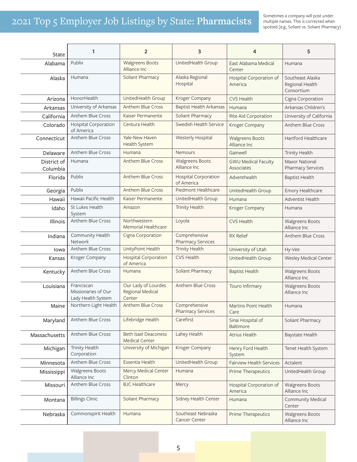# spotted (e.g., Soliant vs. Soliant Pharmacy) 2021 Top 5 Employer Job Listings by State: **Pharmacists**

Sometimes a company will post under multiple names. This is corrected when<br>spotted (e.g., Soliant vs. Soliant Pharmacy)

| State                   | 1                                                       | $\overline{2}$                                           | 3                                         | 4                                        | 5                                                 |
|-------------------------|---------------------------------------------------------|----------------------------------------------------------|-------------------------------------------|------------------------------------------|---------------------------------------------------|
| Alabama                 | Publix                                                  | <b>Walgreens Boots</b><br>Alliance Inc                   | UnitedHealth Group                        | East Alabama Medical<br>Center           | Humana                                            |
| Alaska                  | Humana                                                  | Soliant Pharmacy                                         | Alaska Regional<br>Hospital               | Hospital Corporation of<br>America       | Southeast Alaska<br>Regional Health<br>Consortium |
| Arizona                 | HonorHealth                                             | UnitedHealth Group                                       | Kroger Company                            | <b>CVS Health</b>                        | Cigna Corporation                                 |
| Arkansas                | University of Arkansas                                  | <b>Anthem Blue Cross</b>                                 | <b>Baptist Health Arkansas</b>            | Humana                                   | Arkansas Children's                               |
| California              | Anthem Blue Cross                                       | Kaiser Permanente                                        | Soliant Pharmacy                          | Rite Aid Corporation                     | University of California                          |
| Colorado                | <b>Hospital Corporation</b><br>of America               | Centura Health                                           | Swedish Health Service                    | Kroger Company                           | Anthem Blue Cross                                 |
| Connecticut             | Anthem Blue Cross                                       | Yale-New Haven<br>Health System                          | Westerly Hospital                         | <b>Walgreens Boots</b><br>Alliance Inc   | Hartford Healthcare                               |
| Delaware                | Anthem Blue Cross                                       | Humana                                                   | <b>Nemours</b>                            | Gainwell                                 | Trinity Health                                    |
| District of<br>Columbia | Humana                                                  | <b>Anthem Blue Cross</b>                                 | <b>Walgreens Boots</b><br>Alliance Inc    | <b>GWU Medical Faculty</b><br>Associates | <b>Maxor National</b><br>Pharmacy Services        |
| Florida                 | Publix                                                  | <b>Anthem Blue Cross</b>                                 | <b>Hospital Corporation</b><br>of America | Adventhealth                             | <b>Baptist Health</b>                             |
| Georgia                 | Publix                                                  | <b>Anthem Blue Cross</b>                                 | Piedmont Healthcare                       | UnitedHealth Group                       | Emory Healthcare                                  |
| Hawaii                  | Hawaii Pacific Health                                   | Kaiser Permanente                                        | UnitedHealth Group                        | Humana                                   | Adventist Health                                  |
| Idaho                   | St Lukes Health<br>System                               | Amazon                                                   | <b>Trinity Health</b>                     | Kroger Company                           | Humana                                            |
| Illinois                | Anthem Blue Cross                                       | Northwestern<br><b>Memorial Healthcare</b>               | Loyola                                    | <b>CVS Health</b>                        | <b>Walgreens Boots</b><br>Alliance Inc            |
| Indiana                 | Community Health<br>Network                             | Cigna Corporation                                        | Comprehensive<br><b>Pharmacy Services</b> | RX Relief                                | Anthem Blue Cross                                 |
| Iowa                    | Anthem Blue Cross                                       | UnityPoint Health                                        | <b>Trinity Health</b>                     | University of Utah                       | Hy-Vee                                            |
| Kansas                  | Kroger Company                                          | <b>Hospital Corporation</b><br>of America                | <b>CVS Health</b>                         | UnitedHealth Group                       | Wesley Medical Center                             |
| Kentucky                | Anthem Blue Cross                                       | Humana                                                   | Soliant Pharmacy                          | <b>Baptist Health</b>                    | Walgreens Boots<br>Alliance Inc                   |
| Louisiana               | Franciscan<br>Missionaries of Our<br>Lady Health System | Our Lady of Lourdes<br><b>Regional Medical</b><br>Center | Anthem Blue Cross                         | Touro Infirmary                          | Walgreens Boots<br>Alliance Inc                   |
| Maine                   | Northern Light Health                                   | Anthem Blue Cross                                        | Comprehensive<br><b>Pharmacy Services</b> | Martins Point Health<br>Care             | Humana                                            |
| Maryland                | Anthem Blue Cross                                       | Lifebridge Health                                        | Carefirst                                 | Sinai Hospital of<br><b>Baltimore</b>    | Soliant Pharmacy                                  |
| Massachusetts           | Anthem Blue Cross                                       | <b>Beth Isael Deaconess</b><br><b>Medical Center</b>     | Lahey Health                              | <b>Atrius Health</b>                     | Baystate Health                                   |
| Michigan                | Trinity Health<br>Corporation                           | University of Michigan                                   | Kroger Company                            | Henry Ford Health<br>System              | Tenet Health System                               |
| Minnesota               | Anthem Blue Cross                                       | Essentia Health                                          | UnitedHealth Group                        | <b>Fairview Health Services</b>          | Actalent                                          |
| Mississippi             | <b>Walgreens Boots</b><br>Alliance Inc                  | Mercy Medical Center<br>Clinton                          | Humana                                    | Prime Therapeutics                       | UnitedHealth Group                                |
| Missouri                | Anthem Blue Cross                                       | <b>BJC</b> Healthcare                                    | Mercy                                     | Hospital Corporation of<br>America       | <b>Walgreens Boots</b><br>Alliance Inc            |
| Montana                 | <b>Billings Clinic</b>                                  | Soliant Pharmacy                                         | Sidney Health Center                      | Humana                                   | Community Medical<br>Center                       |
| Nebraska                | Commonspirit Health                                     | Humana                                                   | Southeast Nebraska<br>Cancer Center       | Prime Therapeutics                       | <b>Walgreens Boots</b><br>Alliance Inc            |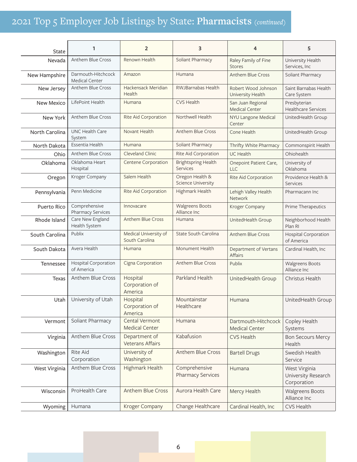# 2021 Top 5 Employer Job Listings by State: **Pharmacists** *(continued)*

| State             | 1                                    | $\overline{2}$                                 | 3                                            | 4                                            | 5                                                   |
|-------------------|--------------------------------------|------------------------------------------------|----------------------------------------------|----------------------------------------------|-----------------------------------------------------|
| Nevada            | Anthem Blue Cross                    | Renown Health                                  | Soliant Pharmacy                             | Raley Family of Fine<br><b>Stores</b>        | University Health<br>Services, Inc.                 |
| New Hampshire     | Darmouth-Hitchcock<br>Medical Center | Amazon                                         | Humana                                       | Anthem Blue Cross                            | Soliant Pharmacy                                    |
| New Jersey        | Anthem Blue Cross                    | Hackensack Meridian<br>Health                  | RWJBarnabas Health                           | Robert Wood Johnson<br>University Health     | Saint Barnabas Health<br>Care System                |
| <b>New Mexico</b> | LifePoint Health                     | Humana                                         | <b>CVS Health</b>                            | San Juan Regional<br><b>Medical Center</b>   | Presbyterian<br><b>Healthcare Services</b>          |
| New York          | Anthem Blue Cross                    | Rite Aid Corporation                           | Northwell Health                             | NYU Langone Medical<br>Center                | UnitedHealth Group                                  |
| North Carolina    | <b>UNC Health Care</b><br>System     | Novant Health                                  | Anthem Blue Cross                            | Cone Health                                  | UnitedHealth Group                                  |
| North Dakota      | Essentia Health                      | Humana                                         | Soliant Pharmacy                             | Thrifty White Pharmacy                       | Commonspirit Health                                 |
| Ohio              | Anthem Blue Cross                    | <b>Cleveland Clinic</b>                        | Rite Aid Corporation                         | <b>UC Health</b>                             | Ohiohealth                                          |
| Oklahoma          | Oklahoma Heart<br>Hospital           | <b>Centene Corporation</b>                     | Brightspring Health<br><b>Services</b>       | Onepoint Patient Care,<br><b>LLC</b>         | University of<br>Oklahoma                           |
| Oregon            | Kroger Company                       | Salem Health                                   | Oregon Health &<br><b>Science University</b> | Rite Aid Corporation                         | Providence Health &<br>Services                     |
| Pennsylvania      | Penn Medicine                        | Rite Aid Corporation                           | Highmark Health                              | Lehigh Valley Health<br><b>Network</b>       | Pharmacann Inc                                      |
| Puerto Rico       | Comprehensive<br>Pharmacy Services   | Innovacare                                     | <b>Walgreens Boots</b><br>Alliance Inc       | Kroger Company                               | Prime Therapeutics                                  |
| Rhode Island      | Care New England<br>Health System    | <b>Anthem Blue Cross</b>                       | Humana                                       | UnitedHealth Group                           | Neighborhood Health<br>Plan RI                      |
| South Carolina    | Publix                               | Medical University of<br>South Carolina        | State South Carolina                         | <b>Anthem Blue Cross</b>                     | <b>Hospital Corporation</b><br>of America           |
| South Dakota      | Avera Health                         | Humana                                         | Monument Health                              | Department of Vertans<br><b>Affairs</b>      | Cardinal Health, Inc                                |
| Tennessee         | Hospital Corporation<br>of America   | Cigna Corporation                              | Anthem Blue Cross                            | Publix                                       | Walgreens Boots<br>Alliance Inc                     |
| Texas             | Anthem Blue Cross                    | Hospital<br>Corporation of<br>America          | Parkland Health                              | UnitedHealth Group                           | Christus Health                                     |
| Utah              | University of Utah                   | Hospital<br>Corporation of<br>America          | Mountainstar<br>Healthcare                   | Humana                                       | UnitedHealth Group                                  |
| Vermont           | Soliant Pharmacy                     | <b>Cental Vermont</b><br><b>Medical Center</b> | Humana                                       | Dartmouth-Hitchcock<br><b>Medical Center</b> | Copley Health<br>Systems                            |
| Virginia          | Anthem Blue Cross                    | Department of<br><b>Veterans Affairs</b>       | Kabafusion                                   | <b>CVS Health</b>                            | <b>Bon Secours Mercy</b><br>Health                  |
| Washington        | Rite Aid<br>Corporation              | University of<br>Washington                    | Anthem Blue Cross                            | <b>Bartell Drugs</b>                         | Swedish Health<br>Service                           |
| West Virginia     | Anthem Blue Cross                    | Highmark Health                                | Comprehensive<br><b>Pharmacy Services</b>    | Humana                                       | West Virginia<br>University Research<br>Corporation |
| Wisconsin         | ProHealth Care                       | Anthem Blue Cross                              | Aurora Health Care                           | Mercy Health                                 | <b>Walgreens Boots</b><br>Alliance Inc              |
| Wyoming           | Humana                               | Kroger Company                                 | Change Healthcare                            | Cardinal Health, Inc                         | CVS Health                                          |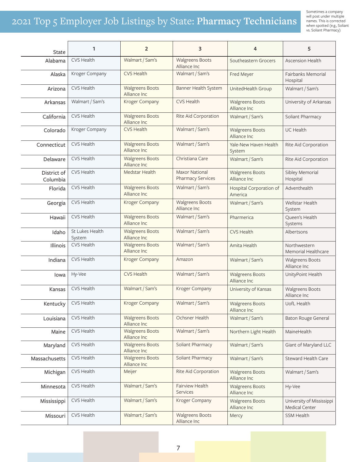# 2021 Top 5 Employer Job Listings by State: **Pharmacy Technicians**

Sometimes a company will post under multiple names. This is corrected when spotted (e.g., Soliant vs. Soliant Pharmacy)

| <b>State</b>            | 1                         | $\overline{2}$                         | 3                                                 | 4                                       | 5                                           |  |
|-------------------------|---------------------------|----------------------------------------|---------------------------------------------------|-----------------------------------------|---------------------------------------------|--|
| Alabama                 | <b>CVS Health</b>         | Walmart / Sam's                        | <b>Walgreens Boots</b><br>Alliance Inc            | Southeastern Grocers                    | Ascension Health                            |  |
| Alaska                  | Kroger Company            | <b>CVS Health</b>                      | Walmart / Sam's                                   | Fred Meyer                              | <b>Fairbanks Memorial</b><br>Hospital       |  |
| Arizona                 | <b>CVS Health</b>         | <b>Walgreens Boots</b><br>Alliance Inc | Banner Health System                              | UnitedHealth Group                      | Walmart / Sam's                             |  |
| Arkansas                | Walmart / Sam's           | <b>Kroger Company</b>                  | <b>CVS Health</b>                                 | <b>Walgreens Boots</b><br>Alliance Inc  | University of Arkansas                      |  |
| California              | CVS Health                | <b>Walgreens Boots</b><br>Alliance Inc | Rite Aid Corporation                              | Walmart / Sam's                         | Soliant Pharmacy                            |  |
| Colorado                | Kroger Company            | <b>CVS Health</b>                      | Walmart / Sam's                                   | <b>Walgreens Boots</b><br>Alliance Inc  | UC Health                                   |  |
| Connecticut             | <b>CVS Health</b>         | <b>Walgreens Boots</b><br>Alliance Inc | Walmart / Sam's                                   | Yale-New Haven Health<br>System         | Rite Aid Corporation                        |  |
| Delaware                | <b>CVS Health</b>         | <b>Walgreens Boots</b><br>Alliance Inc | Christiana Care                                   | Walmart / Sam's                         | Rite Aid Corporation                        |  |
| District of<br>Columbia | <b>CVS Health</b>         | Medstar Health                         | <b>Maxor National</b><br><b>Pharmacy Services</b> | <b>Walgreens Boots</b><br>Alliance Inc. | Sibley Memorial<br>Hospital                 |  |
| Florida                 | <b>CVS Health</b>         | <b>Walgreens Boots</b><br>Alliance Inc | Walmart / Sam's                                   | Hospital Corporation of<br>America      | Adventhealth                                |  |
| Georgia                 | CVS Health                | Kroger Company                         | <b>Walgreens Boots</b><br>Alliance Inc            | Walmart / Sam's                         | Wellstar Health<br>System                   |  |
| Hawaii                  | <b>CVS Health</b>         | <b>Walgreens Boots</b><br>Alliance Inc | Walmart / Sam's                                   | Pharmerica                              | Queen's Health<br>Systems                   |  |
| Idaho                   | St Lukes Health<br>System | <b>Walgreens Boots</b><br>Alliance Inc | Walmart / Sam's                                   | <b>CVS Health</b>                       | Albertsons                                  |  |
| Illinois                | CVS Health                | <b>Walgreens Boots</b><br>Alliance Inc | Walmart / Sam's                                   | Amita Health                            | Northwestern<br>Memorial Healthcare         |  |
| Indiana                 | <b>CVS Health</b>         | Kroger Company                         | Amazon                                            | Walmart / Sam's                         | <b>Walgreens Boots</b><br>Alliance Inc      |  |
| Iowa                    | Hy-Vee                    | <b>CVS Health</b>                      | Walmart / Sam's                                   | <b>Walgreens Boots</b><br>Alliance Inc  | UnityPoint Health                           |  |
| Kansas                  | <b>CVS Health</b>         | Walmart / Sam's                        | Kroger Company                                    | University of Kansas                    | <b>Walgreens Boots</b><br>Alliance Inc      |  |
| Kentucky                | CVS Health                | Kroger Company                         | Walmart / Sam's                                   | <b>Walgreens Boots</b><br>Alliance Inc  | UofL Health                                 |  |
| Louisiana               | CVS Health                | <b>Walgreens Boots</b><br>Alliance Inc | Ochsner Health                                    | Walmart / Sam's                         | Baton Rouge General                         |  |
| Maine                   | CVS Health                | <b>Walgreens Boots</b><br>Alliance Inc | Walmart / Sam's                                   | Northern Light Health                   | MaineHealth                                 |  |
| Maryland                | CVS Health                | <b>Walgreens Boots</b><br>Alliance Inc | Soliant Pharmacy                                  | Walmart / Sam's                         | Giant of Maryland LLC                       |  |
| Massachusetts           | CVS Health                | <b>Walgreens Boots</b><br>Alliance Inc | Soliant Pharmacy                                  | Walmart / Sam's                         | Steward Health Care                         |  |
| Michigan                | CVS Health                | Meijer                                 | Rite Aid Corporation                              | <b>Walgreens Boots</b><br>Alliance Inc  | Walmart / Sam's                             |  |
| Minnesota               | CVS Health                | Walmart / Sam's                        | Fairview Health<br>Services                       | <b>Walgreens Boots</b><br>Alliance Inc  | Hy-Vee                                      |  |
| Mississippi             | CVS Health                |                                        | Kroger Company                                    | <b>Walgreens Boots</b><br>Alliance Inc  | University of Mississippi<br>Medical Center |  |
| CVS Health<br>Missouri  |                           | Walmart / Sam's                        | Walgreens Boots<br>Alliance Inc                   | Mercy                                   | SSM Health                                  |  |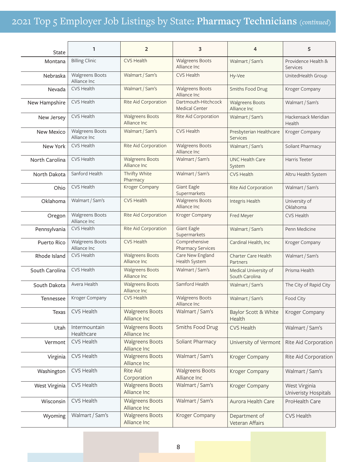# 2021 Top 5 Employer Job Listings by State: **Pharmacy Technicians** *(continued)*

| State          | 1                                      | $\overline{2}$                         | 3                                            | 4                                       | 5                                      |
|----------------|----------------------------------------|----------------------------------------|----------------------------------------------|-----------------------------------------|----------------------------------------|
| Montana        | <b>Billing Clinic</b>                  | <b>CVS Health</b>                      | <b>Walgreens Boots</b><br>Alliance Inc       | Walmart / Sam's                         | Providence Health &<br><b>Services</b> |
| Nebraska       | <b>Walgreens Boots</b><br>Alliance Inc | Walmart / Sam's                        | <b>CVS Health</b>                            | Hy-Vee                                  | UnitedHealth Group                     |
| Nevada         | CVS Health                             | Walmart / Sam's                        | <b>Walgreens Boots</b><br>Alliance Inc       | Smiths Food Drug                        | Kroger Company                         |
| New Hampshire  | CVS Health                             | Rite Aid Corporation                   | Dartmouth-Hitchcock<br><b>Medical Center</b> | <b>Walgreens Boots</b><br>Alliance Inc  | Walmart / Sam's                        |
| New Jersey     | CVS Health                             | <b>Walgreens Boots</b><br>Alliance Inc | Rite Aid Corporation                         | Walmart / Sam's                         | Hackensack Meridian<br>Health          |
| New Mexico     | <b>Walgreens Boots</b><br>Alliance Inc | Walmart / Sam's                        | <b>CVS Health</b>                            | Presbyterian Healthcare<br>Services     | Kroger Company                         |
| New York       | CVS Health                             | Rite Aid Corporation                   | <b>Walgreens Boots</b><br>Alliance Inc       | Walmart / Sam's                         | Soliant Pharmacy                       |
| North Carolina | CVS Health                             | <b>Walgreens Boots</b><br>Alliance Inc | Walmart / Sam's                              | <b>UNC Health Care</b><br>System        | Harris Teeter                          |
| North Dakota   | Sanford Health                         | Thrifty White<br>Pharmacy              | Walmart / Sam's                              | <b>CVS Health</b>                       | Altru Health System                    |
| Ohio           | CVS Health                             | <b>Kroger Company</b>                  | <b>Giant Eagle</b><br>Supermarkets           | Rite Aid Corporation                    | Walmart / Sam's                        |
| Oklahoma       | Walmart / Sam's                        | <b>CVS Health</b>                      | <b>Walgreens Boots</b><br>Alliance Inc       | Integris Health                         | University of<br>Oklahoma              |
| Oregon         | <b>Walgreens Boots</b><br>Alliance Inc | Rite Aid Corporation                   | Kroger Company                               | Fred Meyer                              | <b>CVS Health</b>                      |
| Pennsylvania   | CVS Health                             | Rite Aid Corporation                   | <b>Giant Eagle</b><br>Supermarkets           | Walmart / Sam's                         | Penn Medicine                          |
| Puerto Rico    | <b>Walgreens Boots</b><br>Alliance Inc | <b>CVS Health</b>                      | Comprehensive<br><b>Pharmacy Services</b>    | Cardinal Health, Inc                    | Kroger Company                         |
| Rhode Island   | CVS Health                             | <b>Walgreens Boots</b><br>Alliance Inc | Care New England<br>Health System            | Charter Care Health<br>Partners         | Walmart / Sam's                        |
| South Carolina | CVS Health                             | <b>Walgreens Boots</b><br>Alliance Inc | Walmart / Sam's                              | Medical University of<br>South Carolina | Prisma Health                          |
| South Dakota   | Avera Health                           | <b>Walgreens Boots</b><br>Alliance Inc | Samford Health                               | Walmart / Sam's                         | The City of Rapid City                 |
| Tennessee      | Kroger Company                         | <b>CVS Health</b>                      | <b>Walgreens Boots</b><br>Alliance Inc       | Walmart / Sam's                         | Food City                              |
| <b>Texas</b>   | CVS Health                             | <b>Walgreens Boots</b><br>Alliance Inc | Walmart / Sam's                              | Baylor Scott & White<br>Health          | Kroger Company                         |
| Utah           | Intermountain<br>Healthcare            | <b>Walgreens Boots</b><br>Alliance Inc | Smiths Food Drug                             | <b>CVS Health</b>                       | Walmart / Sam's                        |
| Vermont        | CVS Health                             | <b>Walgreens Boots</b><br>Alliance Inc | Soliant Pharmacy                             | University of Vermont                   | Rite Aid Corporation                   |
| Virginia       | CVS Health                             | <b>Walgreens Boots</b><br>Alliance Inc | Walmart / Sam's                              | Kroger Company                          | Rite Aid Corporation                   |
| Washington     | CVS Health                             | <b>Rite Aid</b><br>Corporation         | <b>Walgreens Boots</b><br>Alliance Inc       | Kroger Company                          | Walmart / Sam's                        |
| West Virginia  | CVS Health                             | <b>Walgreens Boots</b><br>Alliance Inc | Walmart / Sam's                              | Kroger Company                          | West Virginia<br>Univeristy Hospitals  |
| Wisconsin      | CVS Health                             | <b>Walgreens Boots</b><br>Alliance Inc | Walmart / Sam's                              | Aurora Health Care                      | ProHealth Care                         |
| Wyoming        | Walmart / Sam's                        | <b>Walgreens Boots</b><br>Alliance Inc | Kroger Company                               | Department of<br>Veteran Affairs        | CVS Health                             |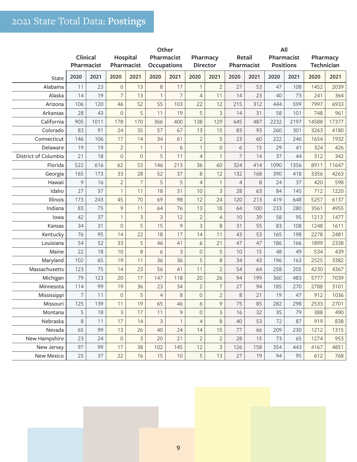# 2021 State Total Data: **Postings**

|                      | Other      |      |                     |                |                                       |                |                     | All            |                |      |                  |            |                   |          |  |
|----------------------|------------|------|---------------------|----------------|---------------------------------------|----------------|---------------------|----------------|----------------|------|------------------|------------|-------------------|----------|--|
|                      | Clinical   |      | Hospital            |                | Pharmacist                            |                | Pharmacy            |                | <b>Retail</b>  |      |                  | Pharmacist |                   | Pharmacy |  |
|                      | Pharmacist |      | Pharmacist          |                | <b>Occupations</b><br><b>Director</b> |                |                     |                | Pharmacist     |      | <b>Positions</b> |            | <b>Technician</b> |          |  |
| <b>State</b>         | 2020       | 2021 | 2020                | 2021           | 2020                                  | 2021           | 2020                | 2021           | 2020           | 2021 | 2020             | 2021       | 2020              | 2021     |  |
| Alabama              | 11         | 23   | $\overline{O}$      | 13             | 8                                     | 17             | $\mathbf{1}$        | $\overline{2}$ | 27             | 53   | 47               | 108        | 1452              | 2039     |  |
| Alaska               | 14         | 19   | $\overline{7}$      | 13             | $\mathbf{1}$                          | $\overline{7}$ | 4                   | 11             | 14             | 23   | 40               | 73         | 241               | 364      |  |
| Arizona              | 106        | 120  | 46                  | 52             | 55                                    | 103            | 22                  | 12             | 215            | 312  | 444              | 599        | 7997              | 6933     |  |
| Arkansas             | 28         | 43   | $\mathbf{O}$        | 5              | 11                                    | 19             | 5                   | 3              | 14             | 31   | 58               | 101        | 748               | 961      |  |
| California           | 905        | 1011 | 178                 | 170            | 366                                   | 400            | 138                 | 129            | 645            | 487  | 2232             | 2197       | 14588             | 17377    |  |
| Colorado             | 83         | 91   | 24                  | 35             | 57                                    | 67             | 13                  | 15             | 83             | 93   | 260              | 301        | 3263              | 4180     |  |
| Connecticut          | 146        | 106  | 17                  | 14             | 34                                    | 61             | $\overline{2}$      | 5              | 23             | 60   | 222              | 246        | 1654              | 1932     |  |
| Delaware             | 19         | 19   | $\overline{2}$      | $\mathbf{1}$   | $\mathbf{1}$                          | 6              | $\mathbf{1}$        | $\mathbf 0$    | 6              | 15   | 29               | 41         | 324               | 426      |  |
| District of Columbia | 21         | 18   | $\mathsf{O}\xspace$ | $\overline{O}$ | 5                                     | 11             | $\overline{4}$      | $\mathbf{1}$   | $\overline{7}$ | 14   | 37               | 44         | 312               | 342      |  |
| Florida              | 522        | 616  | 62                  | 53             | 146                                   | 213            | 36                  | 60             | 324            | 414  | 1090             | 1356       | 8911              | 11647    |  |
| Georgia              | 165        | 173  | 33                  | 28             | 52                                    | 37             | $\,8\,$             | 12             | 132            | 168  | 390              | 418        | 3356              | 4263     |  |
| Hawaii               | 9          | 16   | $\overline{2}$      | $\overline{7}$ | 5                                     | 5              | $\overline{4}$      | $\mathbf{1}$   | $\overline{4}$ | 8    | 24               | 37         | 420               | 598      |  |
| Idaho                | 27         | 37   | $\mathbf{1}$        | 11             | 18                                    | 31             | 10                  | 3              | 28             | 63   | 84               | 145        | 712               | 1220     |  |
| Illinois             | 173        | 243  | 45                  | 70             | 69                                    | 98             | 12                  | 24             | 120            | 213  | 419              | 648        | 5257              | 6137     |  |
| Indiana              | 83         | 75   | 9                   | 11             | 64                                    | 76             | 13                  | 18             | 64             | 100  | 233              | 280        | 3561              | 4955     |  |
| Iowa                 | 42         | 37   | $\mathbf{1}$        | 3              | $\overline{3}$                        | 12             | $\overline{2}$      | $\overline{4}$ | 10             | 39   | 58               | 95         | 1213              | 1477     |  |
| Kansas               | 34         | 31   | $\mathsf{O}\xspace$ | 5              | 15                                    | 9              | $\overline{3}$      | 8              | 31             | 55   | 83               | 108        | 1248              | 1611     |  |
| Kentucky             | 76         | 95   | 14                  | 22             | 18                                    | 17             | 14                  | 11             | 43             | 53   | 165              | 198        | 2278              | 2481     |  |
| Louisiana            | 54         | 52   | 33                  | 5              | 46                                    | 41             | $\epsilon$          | 21             | 47             | 47   | 186              | 166        | 1899              | 2338     |  |
| Maine                | 22         | 18   | 10                  | 8              | 6                                     | 3              | $\mathsf{O}\xspace$ | 5              | 10             | 15   | 48               | 49         | 534               | 439      |  |
| Maryland             | 102        | 65   | 19                  | 11             | 36                                    | 36             | 5                   | 8              | 34             | 43   | 196              | 163        | 2525              | 3382     |  |
| Massachusetts        | 123        | 75   | 14                  | 23             | 56                                    | 41             | 11                  | $\overline{2}$ | 54             | 64   | 258              | 205        | 4230              | 4367     |  |
| Michigan             | 79         | 123  | 20                  | 17             | 147                                   | 118            | 20                  | 26             | 94             | 199  | 360              | 483        | 5777              | 7039     |  |
| Minnesota            | 114        | 99   | 19                  | 36             | 23                                    | 34             | $\overline{2}$      | $\overline{7}$ | 27             | 94   | 185              | 270        | 2788              | 3101     |  |
| Mississippi          | 7          | 11   | $\mathbf{0}$        | 5              | $\overline{4}$                        | $\,8\,$        | $\mathsf O$         | $\overline{2}$ | 8              | 21   | 19               | 47         | 912               | 1036     |  |
| Missouri             | 125        | 139  | 11                  | 19             | 65                                    | 46             | 6                   | 9              | 75             | 85   | 282              | 298        | 2533              | 2701     |  |
| Montana              | 5          | 18   | $\overline{3}$      | 17             | 11                                    | 9              | $\mathsf O$         | 3              | 16             | 32   | 35               | 79         | 388               | 490      |  |
| Nebraska             | 8          | 11   | 17                  | 14             | $\overline{3}$                        | $\mathbf{1}$   | $\overline{4}$      | 8              | 40             | 53   | 72               | 87         | 919               | 838      |  |
| Nevada               | 65         | 99   | 13                  | 26             | 40                                    | 24             | 14                  | 15             | 77             | 66   | 209              | 230        | 1212              | 1315     |  |
| New Hampshire        | 23         | 24   | $\overline{O}$      | $\overline{3}$ | 20                                    | 21             | $\overline{2}$      | $\overline{2}$ | 28             | 15   | 73               | 65         | 1274              | 953      |  |
| New Jersey           | 97         | 99   | 17                  | 38             | 102                                   | 145            | 12                  | 3              | 126            | 158  | 354              | 443        | 4167              | 4851     |  |
| New Mexico           | 25         | 37   | 22                  | 16             | 15                                    | 10             | 5                   | 13             | 27             | 19   | 94               | 95         | 612               | 768      |  |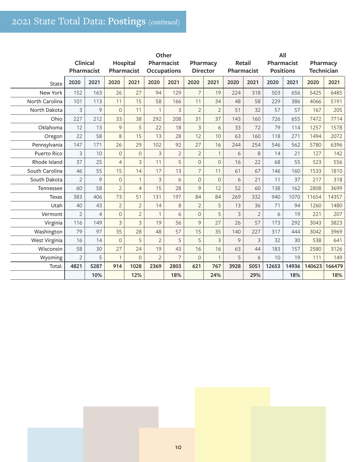# 2021 State Total Data: **Postings** *(continued)*

|                | Other                  |                |                        |                |                |                                                                 |                |                |                | All               |                                |       |                               |        |  |  |
|----------------|------------------------|----------------|------------------------|----------------|----------------|-----------------------------------------------------------------|----------------|----------------|----------------|-------------------|--------------------------------|-------|-------------------------------|--------|--|--|
|                | Clinical<br>Pharmacist |                | Hospital<br>Pharmacist |                |                | Pharmacist<br>Pharmacy<br><b>Occupations</b><br><b>Director</b> |                |                | <b>Retail</b>  | <b>Pharmacist</b> | Pharmacist<br><b>Positions</b> |       | Pharmacy<br><b>Technician</b> |        |  |  |
| <b>State</b>   | 2020                   | 2021           | 2020                   | 2021           | 2020           | 2021                                                            | 2020           | 2021           | 2020           | 2021              | 2020                           | 2021  | 2020                          | 2021   |  |  |
| New York       | 152                    | 163            | 26                     | 27             | 94             | 129                                                             | 7              | 19             | 224            | 318               | 503                            | 656   | 5425                          | 6485   |  |  |
| North Carolina | 101                    | 113            | 11                     | 15             | 58             | 166                                                             | 11             | 34             | 48             | 58                | 229                            | 386   | 4066                          | 5191   |  |  |
| North Dakota   | 3                      | 9              | $\overline{O}$         | 11             | $\mathbf{1}$   | 3                                                               | $\overline{2}$ | $\overline{2}$ | 51             | 32                | 57                             | 57    | 167                           | 205    |  |  |
| Ohio           | 227                    | 212            | 33                     | 38             | 292            | 208                                                             | 31             | 37             | 143            | 160               | 726                            | 655   | 7472                          | 7714   |  |  |
| Oklahoma       | 12                     | 13             | 9                      | 5              | 22             | 18                                                              | 3              | 6              | 33             | 72                | 79                             | 114   | 1257                          | 1578   |  |  |
| Oregon         | 22                     | 58             | 8                      | 15             | 13             | 28                                                              | 12             | 10             | 63             | 160               | 118                            | 271   | 1494                          | 2072   |  |  |
| Pennsylvania   | 147                    | 171            | 26                     | 29             | 102            | 92                                                              | 27             | 16             | 244            | 254               | 546                            | 562   | 5780                          | 6396   |  |  |
| Puerto Rico    | 3                      | 10             | $\overline{0}$         | $\Omega$       | 3              | $\overline{2}$                                                  | $\overline{2}$ | $\mathbf{1}$   | 6              | 8                 | 14                             | 21    | 127                           | 142    |  |  |
| Rhode Island   | 37                     | 25             | $\overline{4}$         | 3              | 11             | 5                                                               | $\mathbf{O}$   | $\overline{0}$ | 16             | 22                | 68                             | 55    | 523                           | 556    |  |  |
| South Carolina | 46                     | 55             | 15                     | 14             | 17             | 13                                                              | $\overline{7}$ | 11             | 61             | 67                | 146                            | 160   | 1533                          | 1810   |  |  |
| South Dakota   | $\overline{2}$         | 9              | $\overline{O}$         | $\mathbf{1}$   | 3              | 6                                                               | $\mathbf{O}$   | $\Omega$       | 6              | 21                | 11                             | 37    | 217                           | 318    |  |  |
| Tennessee      | 60                     | 58             | $\overline{2}$         | $\overline{4}$ | 15             | 28                                                              | 9              | 12             | 52             | 60                | 138                            | 162   | 2808                          | 3699   |  |  |
| <b>Texas</b>   | 383                    | 406            | 73                     | 51             | 131            | 197                                                             | 84             | 84             | 269            | 332               | 940                            | 1070  | 11654                         | 14357  |  |  |
| Utah           | 40                     | 43             | $\overline{2}$         | $\overline{2}$ | 14             | 8                                                               | $\overline{2}$ | 5              | 13             | 36                | 71                             | 94    | 1260                          | 1480   |  |  |
| Vermont        | $\overline{2}$         | $\overline{4}$ | $\mathbf 0$            | $\overline{2}$ | $\mathbf{1}$   | 6                                                               | $\overline{O}$ | 5              | $\overline{3}$ | $\overline{2}$    | 6                              | 19    | 221                           | 207    |  |  |
| Virginia       | 116                    | 149            | $\overline{3}$         | $\overline{3}$ | 19             | 56                                                              | 9              | 27             | 26             | 57                | 173                            | 292   | 3043                          | 3823   |  |  |
| Washington     | 79                     | 97             | 35                     | 28             | 48             | 57                                                              | 15             | 35             | 140            | 227               | 317                            | 444   | 3042                          | 3969   |  |  |
| West Virginia  | 16                     | 14             | $\overline{0}$         | 5              | $\overline{2}$ | 5                                                               | 5              | 3              | 9              | 3                 | 32                             | 30    | 538                           | 641    |  |  |
| Wisconsin      | 58                     | 30             | 27                     | 24             | 19             | 43                                                              | 16             | 16             | 63             | 44                | 183                            | 157   | 2580                          | 3126   |  |  |
| Wyoming        | $\overline{2}$         | 5              | $\mathbf{1}$           | $\overline{0}$ | $\overline{2}$ | $\overline{7}$                                                  | $\mathbf 0$    | $\mathbf{1}$   | 5              | 6                 | 10                             | 19    | 111                           | 149    |  |  |
| Total:         | 4821                   | 5287           | 914                    | 1028           | 2369           | 2803                                                            | 621            | 767            | 3928           | 5051              | 12653                          | 14936 | 140623                        | 166479 |  |  |
|                |                        | 10%            |                        | 12%            |                | 18%                                                             |                | 24%            |                | 29%               |                                | 18%   |                               | 18%    |  |  |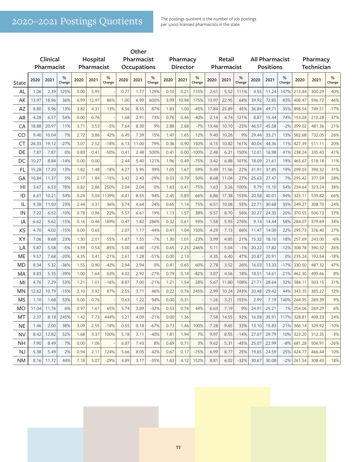# 2020–2021 Postings Quotients

The postings quotient is the number of job postings<br>per 1,000 licensed pharmacists in the state.

|                | Other |                   |             |      |            |             |      |                    |             |      |                 |             |       |                   |             |       |                       |             |               |                   |             |
|----------------|-------|-------------------|-------------|------|------------|-------------|------|--------------------|-------------|------|-----------------|-------------|-------|-------------------|-------------|-------|-----------------------|-------------|---------------|-------------------|-------------|
|                |       | Clinical          |             |      | Hospital   |             |      | <b>Pharmacist</b>  |             |      | Pharmacy        |             |       | Retail            |             |       | <b>All Pharmacist</b> |             | Pharmacy      |                   |             |
|                |       | <b>Pharmacist</b> |             |      | Pharmacist |             |      | <b>Occupations</b> |             |      | <b>Director</b> |             |       | <b>Pharmacist</b> |             |       | <b>Positions</b>      |             |               | <b>Technician</b> |             |
| State          | 2020  | 2021              | %<br>Change | 2020 | 2021       | %<br>Change | 2020 | 2021               | %<br>Change | 2020 | 2021            | %<br>Change | 2020  | 2021              | %<br>Change | 2020  | 2021                  | %<br>Change | 2020          | 2021              | %<br>Change |
| AL             | 1.06  | 2.39              | 125%        | 0.00 | 5.95       |             | 0.77 | 1.77               | 129%        | 0.10 | 0.21            | 115%        | 2.61  | 5.52              | 111%        | 4.55  | 11.24                 | 147%        | 213.84        | 300.29            | 40%         |
| AK             | 13.97 | 18.96             | 36%         | 6.99 | 12.97      | 86%         | 1.00 | 6.99               | 600%        | 3.99 | 10.98           | 175%        | 13.97 | 22.95             | 64%         | 39.92 | 72.85                 | 83%         | 408.47        | 596.72            | 46%         |
| AZ             | 8.80  | 9.96              | 13%         | 3.82 | 4.31       | 13%         | 4.56 | 8.55               | 87%         | 1.83 | 1.00            | $-45%$      | 17.84 | 25.89             | 45%         | 36.84 | 49.71                 | 35%         | 898.54        | 749.51            | $-17%$      |
| <b>AR</b>      | 4.28  | 6.57              | 54%         | 0.00 | 0.76       |             | 1.68 | 2.91               | 73%         | 0.76 | 0.46            | $-40%$      | 2.14  | 4.74              | 121%        | 8.87  | 15.44                 | 74%         | 153.28        | 210.28            | 37%         |
| CA             | 18.88 | 20.97             | 11%         | 3.71 | 3.53       | $-5%$       | 7.64 | 8.30               | 9%          | 2.88 | 2.68            | $-7%$       | 13.46 | 10.10             | $-25%$      | 46.57 | 45.58                 | $-2%$       | 399.02        | 481.36            | 21%         |
| CO             | 9.40  | 10.04             | 7%          | 2.72 | 3.86       | 42%         | 6.45 | 7.39               | 15%         | 1.47 | 1.65            | 12%         | 9.40  | 10.26             | 9%          | 29.44 | 33.21                 | 13%         | 582.68        | 732.05            | 26%         |
| <b>CT</b>      | 26.33 | 19.12             | $-27%$      | 3.07 | 2.52       | $-18%$      | 6.13 | 11.00              | 79%         | 0.36 | 0.90            | 150%        | 4.15  | 10.82             | 161%        | 40.04 | 44.36                 | 11%         | 427.39        | 511.11            | 20%         |
| DE             | 7.87  | 7.87              | 0%          | 0.83 | 0.41       | $-50%$      | 0.41 | 2.48               | 500%        | 0.41 | 0.00            | $-100%$     | 2.48  | 6.21              | 150%        | 12.01 | 16.98                 | 41%         | 238.24        | 335.43            | 41%         |
| DC             | 10.27 | 8.84              | $-14%$      | 0.00 | 0.00       |             | 2.44 | 5.40               | 121%        | 1.96 | 0.49            | $-75%$      | 3.42  | 6.88              | 101%        | 18.09 | 21.61                 | 19%         | 465.67        | 518.18            | 11%         |
| FL             | 15.28 | 17.20             | 13%         | 1.82 | 1.48       | $-18%$      | 4.27 | 5.95               | 39%         | 1.05 | 1.67            | 59%         | 9.49  | 11.56             | 22%         | 31.91 | 37.85                 | 19%         | 299.03        | 390.32            | 31%         |
| GA             | 10.84 | 11.37             | 5%          | 2.17 | 1.84       | $-15%$      | 3.42 | 2.43               | $-29%$      | 0.53 | 0.79            | 50%         | 8.68  | 11.04             | 27%         | 25.63 | 27.47                 | 7%          | 295.42        | 377.59            | 28%         |
| H <sub>l</sub> | 3.67  | 6.53              | 78%         | 0.82 | 2.86       | 250%        | 2.04 | 2.04               | 0%          | 1.63 | 0.41            | $-75%$      | 1.63  | 3.26              | 100%        | 9.79  | 15.10                 | 54%         | 234.64        | 323.24            | 38%         |
| ID             | 6.61  | 10.21             | 54%         | 0.24 | 3.04       | 1139%       | 4.41 | 8.55               | 94%         | 2.45 | 0.83            | $-66%$      | 6.86  | 17.38             | 153%        | 20.58 | 40.01                 | 94%         | 325.11        | 539.82            | 66%         |
| IL             | 9.38  | 11.50             | 23%         | 2.44 | 3.31       | 36%         | 3.74 | 4.64               | 24%         | 0.65 | 1.14            | 75%         | 6.51  | 10.08             | 55%         | 22.71 | 30.68                 | 35%         | 249.27        | 308.70            | 24%         |
| IN             | 7.22  | 6.52              | $-10%$      | 0.78 | 0.96       | 22%         | 5.57 | 6.61               | 19%         | 1.13 | 1.57            | 38%         | 5.57  | 8.70              | 56%         | 20.27 | 24.35                 | 20%         | 370.55        | 506.13            | 37%         |
| IA             | 6.62  | 5.62              | $-15%$      | 0.16 | 0.46       | 189%        | 0.47 | 1.82               | 286%        | 0.32 | 0.61            | 93%         | 1.58  | 5.93              | 276%        | 9.14  | 14.44                 | 58%         | 284.07        | 379.69            | 34%         |
| KS             | 4.70  | 4.02              | $-15%$      | 0.00 | 0.65       |             | 2.07 | 1.17               | $-44%$      | 0.41 | 1.04            | 150%        | 4.29  | 7.13              | 66%         | 11.47 | 14.00                 | 22%         | 295.73        | 376.40            | 27%         |
| KY             | 7.06  | 8.68              | 23%         | 1.30 | 2.01       | 55%         | 1.67 | 1.55               | $-7%$       | 1.30 | 1.01            | $-23%$      | 3.99  | 4.85              | 21%         | 15.32 | 18.10                 | 18%         | 257.69        | 243.00            | $-6%$       |
| LA             | 5.87  | 5.58              | $-5%$       | 3.59 | 0.54       | $-85%$      | 5.00 | 4.40               | $-12%$      | 0.65 | 2.25            | 246%        | 5.11  | 5.04              | $-1%$       | 20.22 | 17.82                 | $-12%$      | 308.78        | 390.32            | 26%         |
| ME             | 9.57  | 7.68              | $-20%$      | 4.35 | 3.41       | $-21%$      | 2.61 | 1.28               | $-51%$      | 0.00 | 2.13            |             | 4.35  | 6.40              | 47%         | 20.87 | 20.91                 | 0%          | 235.24        | 192.54            | $-18%$      |
| MD             | 8.34  | 5.32              | $-36%$      | 1.55 | 0.90       | $-42%$      | 2.94 | 2.94               | 0%          | 0.41 | 0.65            | 60%         | 2.78  | 3.52              | 26%         | 16.03 | 13.33                 | $-17%$      | 330.50        | 487.32            | 47%         |
| MA             | 8.83  | 5.35              | $-39%$      | 1.00 | 1.64       | 63%         | 4.02 | 2.92               | $-27%$      | 0.79 | 0.14            | $-82%$      | 3.87  | 4.56              | 18%         | 18.51 | 14.61                 | $-21%$      | 462.30        | 499.66            | 8%          |
| MI             | 4.76  | 7.29              | 53%         | 1.21 | 1.01       | $-16%$      | 8.87 | 7.00               | $-21%$      | 1.21 | 1.54            | 28%         | 5.67  | 11.80             | 108%        | 21.71 | 28.64                 | 32%         | 384.11        | 503.15            | 31%         |
| ΜN             | 12.62 | 10.79             | $-15%$      | 2.10 | 3.92       | 87%         | 2.55 | 3.71               | 46%         | 0.22 | 0.76            | 245%        | 2.99  | 10.24             | 243%        | 20.48 | 29.42                 | 44%         | 343.35        | 385.22            | 12%         |
| <b>MS</b>      | 1.10  | 1.68              | 53%         | 0.00 | 0.76       |             | 0.63 | 1.22               | 94%         | 0.00 | 0.31            |             | 1.26  | 3.21              | 155%        | 2.99  | 7.19                  | 140%        | 264.35        | 289.39            | 9%          |
| МO             | 11.04 | 11.76             | 6%          | 0.97 | 1.61       | 65%         | 5.74 | 3.89               | $-32%$      | 0.53 | 0.76            | 44%         | 6.63  | 7.19              | 9%          | 24.91 | 25.21                 | $1\%$       | 254.06        | 269.29            | 6%          |
| MT             | 2.37  | 8.18              | 245%        | 1.42 | 7.73       | 444%        | 5.21 | 4.09               | $-21%$      | 0.00 | 1.36            |             | 7.58  | 14.55             | 92%         | 16.58 | 35.91                 |             | 117% 328.81   | 408.33            | 24%         |
| NE.            | 1.46  | 2.00              | 38%         | 3.09 | 2.55       | $-18%$      | 0.55 | 0.18               | $-67%$      | 0.73 | 1.46            | 100%        | 7.28  | 9.65              | 33%         | 13.10 | 15.83                 |             | 21% 366.14    | 329.92            | $-10%$      |
| <b>NV</b>      | 8.42  | 12.82             | 52%         | 1.68 | 3.37       | 100%        | 5.18 | 3.11               | $-40%$      | 1.81 | 1.94            | 7%          | 9.97  | 8.55              | $-14%$      | 27.07 | 29.79                 |             | 10% 323.20    | 312.35            | $-3%$       |
| NH             | 7.90  | 8.49              | 7%          | 0.00 | 1.06       |             | 6.87 | 7.43               | 8%          | 0.69 | 0.71            | 3%          | 9.62  | 5.31              | $-45%$      | 25.07 | 22.99                 |             | $-8\%$ 681.28 | 506.91            | $-26%$      |
| <b>NJ</b>      | 5.38  | 5.49              | 2%          | 0.94 | 2.11       | 124%        | 5.66 | 8.05               | 42%         | 0.67 | 0.17            | $-75%$      | 6.99  | 8.77              | 25%         | 19.65 | 24.59                 |             | 25% 424.77    | 466.44            | 10%         |
| NM             | 8.16  | 11.72             | 44%         | 7.18 | 5.07       | $-29%$      | 4.89 | 3.17               | $-35%$      | 1.63 | 4.12            | 152%        | 8.81  | 6.02              | $-32%$      | 30.67 | 30.08                 |             | $-2\%$ 261.54 | 308.43            | 18%         |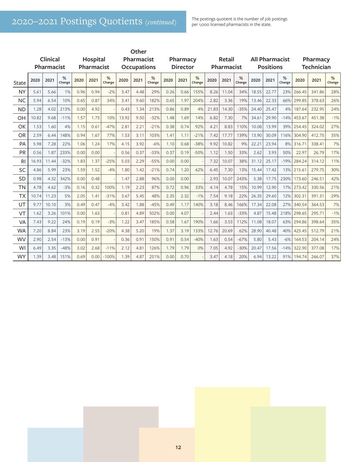# 2020–2021 Postings Quotients (continued)

The postings quotient is the number of job postings<br>per 1,000 licensed pharmacists in the state.

|                | Other |                   |             |                   |          |                    |       |                   |             |            |                 |             |                  |               |             |                   |                       |             |        |                 |             |
|----------------|-------|-------------------|-------------|-------------------|----------|--------------------|-------|-------------------|-------------|------------|-----------------|-------------|------------------|---------------|-------------|-------------------|-----------------------|-------------|--------|-----------------|-------------|
|                |       | <b>Clinical</b>   |             |                   | Hospital |                    |       | <b>Pharmacist</b> |             |            | <b>Pharmacy</b> |             |                  | <b>Retail</b> |             |                   | <b>All Pharmacist</b> |             |        | <b>Pharmacy</b> |             |
|                |       | <b>Pharmacist</b> |             | <b>Pharmacist</b> |          | <b>Occupations</b> |       | <b>Director</b>   |             | Pharmacist |                 |             | <b>Positions</b> |               |             | <b>Technician</b> |                       |             |        |                 |             |
| <b>State</b>   | 2020  | 2021              | %<br>Change | 2020              | 2021     | %<br>Change        | 2020  | 2021              | %<br>Change | 2020       | 2021            | %<br>Change | 2020             | 2021          | %<br>Change | 2020              | 2021                  | %<br>Change | 2020   | 2021            | %<br>Change |
| <b>NY</b>      | 5.61  | 5.66              | 1%          | 0.96              | 0.94     | $-2%$              | 3.47  | 4.48              | 29%         | 0.26       | 0.66            | 155%        | 8.26             | 11.04         | 34%         | 18.55             | 22.77                 | 23%         | 266.45 | 341.86          | 28%         |
| <b>NC</b>      | 5.94  | 6.54              | 10%         | 0.65              | 0.87     | 34%                | 3.41  | 9.60              | 182%        | 0.65       | 1.97            | 204%        | 2.82             | 3.36          | 19%         | 13.46             | 22.33                 | 66%         | 299.85 | 378.63          | 26%         |
| <b>ND</b>      | 1.28  | 4.02              | 213%        | 0.00              | 4.92     |                    | 0.43  | 1.34              | 213%        | 0.86       | 0.89            | 4%          | 21.83            | 14.30         | $-35%$      | 24.40             | 25.47                 | 4%          | 187.64 | 232.95          | 24%         |
| OH             | 10.82 | 9.68              | $-11%$      | 1.57              | 1.73     | 10%                | 13.92 | 9.50              | $-32%$      | 1.48       | 1.69            | 14%         | 6.82             | 7.30          | 7%          | 34.61             | 29.90                 | $-14%$      | 453.67 | 451.38          | $-1%$       |
| OK             | 1.53  | 1.60              | 4%          | 1.15              | 0.61     | $-47%$             | 2.81  | 2.21              | $-21%$      | 0.38       | 0.74            | 92%         | 4.21             | 8.83          | 110%        | 10.08             | 13.99                 | 39%         | 254.45 | 324.02          | 27%         |
| OR             | 2.59  | 6.44              | 148%        | 0.94              | 1.67     | 77%                | 1.53  | 3.11              | 103%        | 1.41       | 1.11            | $-21%$      | 7.42             | 17.77         | 139%        | 13.90             | 30.09                 | 116%        | 304.90 | 412.75          | 35%         |
| PA             | 5.98  | 7.28              | 22%         | 1.06              | 1.24     | 17%                | 4.15  | 3.92              | $-6%$       | 1.10       | 0.68            | $-38%$      | 9.92             | 10.82         | 9%          | 22.21             | 23.94                 | 8%          | 316.71 | 338.41          | 7%          |
| PR             | 0.56  | 1.87              | 233%        | 0.00              | 0.00     |                    | 0.56  | 0.37              | $-33%$      | 0.37       | 0.19            | $-50%$      | 1.12             | 1.50          | 33%         | 2.62              | 3.93                  | 50%         | 22.97  | 26.79           | 17%         |
| R <sub>l</sub> | 16.93 | 11.44             | $-32%$      | 1.83              | 1.37     | $-25%$             | 5.03  | 2.29              | $-55%$      | 0.00       | 0.00            |             | 7.32             | 10.07         | 38%         | 31.12             | 25.17                 | $-19%$      | 284.24 | 314.12          | 11%         |
| SC             | 4.86  | 5.99              | 23%         | 1.59              | 1.52     | $-4%$              | 1.80  | 1.42              | $-21%$      | 0.74       | 1.20            | 62%         | 6.45             | 7.30          | 13%         | 15.44             | 17.42                 | 13%         | 215.61 | 279.75          | 30%         |
| <b>SD</b>      | 0.98  | 4.32              | 342%        | 0.00              | 0.48     |                    | 1.47  | 2.88              | 96%         | 0.00       | 0.00            |             | 2.93             | 10.07         | 243%        | 5.38              | 17.75                 | 230%        | 173.60 | 246.51          | 42%         |
| <b>TN</b>      | 4.78  | 4.62              | $-3%$       | 0.16              | 0.32     | 100%               | 1.19  | 2.23              | 87%         | 0.72       | 0.96            | 33%         | 4.14             | 4.78          | 15%         | 10.99             | 12.90                 | 17%         | 273.42 | 330.56          | 21%         |
| <b>TX</b>      | 10.74 | 11.23             | 5%          | 2.05              | 1.41     | $-31%$             | 3.67  | 5.45              | 48%         | 2.35       | 2.32            | $-1%$       | 7.54             | 9.18          | 22%         | 26.35             | 29.60                 | 12%         | 302.31 | 391.31          | 29%         |
| UT             | 9.77  | 10.10             | 3%          | 0.49              | 0.47     | $-4%$              | 3.42  | 1.88              | $-45%$      | 0.49       | 1.17            | 140%        | 3.18             | 8.46          | 166%        | 17.34             | 22.08                 | 27%         | 340.54 | 364.53          | 7%          |
| VT             | 1.62  | 3.26              | 101%        | 0.00              | 1.63     |                    | 0.81  | 4.89              | 502%        | 0.00       | 4.07            |             | 2.44             | 1.63          | $-33%$      | 4.87              | 15.48                 | 218%        | 298.65 | 295.71          | $-1%$       |
| <b>VA</b>      | 7.43  | 9.22              | 24%         | 0.19              | 0.19     | $-3%$              | 1.22  | 3.47              | 185%        | 0.58       | 1.67            | 190%        | 1.66             | 3.53          | 112%        | 11.08             | 18.07                 | 63%         | 294.86 | 398.64          | 35%         |
| <b>WA</b>      | 7.20  | 8.84              | 23%         | 3.19              | 2.55     | $-20%$             | 4.38  | 5.20              | 19%         | 1.37       | 3.19            | 133%        | 12.76            | 20.69         | 62%         | 28.90             | 40.48                 | 40%         | 425.45 | 512.79          | 21%         |
| <b>WV</b>      | 2.90  | 2.54              | $-13%$      | 0.00              | 0.91     |                    | 0.36  | 0.91              | 150%        | 0.91       | 0.54            | $-40%$      | 1.63             | 0.54          | $-67%$      | 5.80              | 5.43                  | $-6%$       | 164.53 | 204.14          | 24%         |
| WI             | 6.49  | 3.35              | $-48%$      | 3.02              | 2.68     | $-11%$             | 2.12  | 4.81              | 126%        | 1.79       | 1.79            | 0%          | 7.05             | 4.92          | $-30%$      | 20.47             | 17.56                 | $-14%$      | 322.90 | 377.08          | 17%         |
| <b>WY</b>      | 1.39  | 3.48              | 151%        | 0.69              | 0.00     | $-100%$            | 1.39  | 4.87              | 251%        | 0.00       | 0.70            |             | 3.47             | 4.18          | 20%         | 6.94              | 13.22                 | 91%         | 194.74 | 266.07          | 37%         |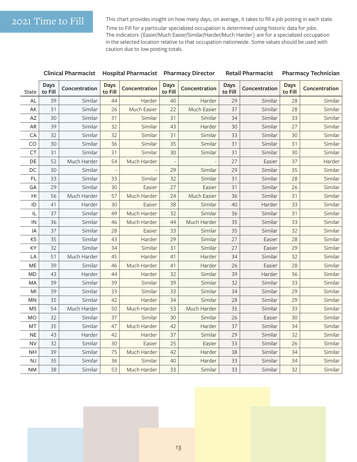2021 Time to Fill This chart provides insight on how many days, on average, it takes to fill a job posting in each state.

Time to Fill for a particular specialized occupation is determined using historic data for jobs. The indicators (Easier/Much Easier/Similar/Harder/Much Harder) are for a specialized occupation in the selected location relative to that occupation nationwide. Some values should be used with caution due to low posting totals.

|                |                        | Clinical Pharmacist Hospital Pharmacist Pharmacy Director |                        |                      |                        |               |                 | <b>Retail Pharmacist</b> | <b>Pharmacy Technician</b> |               |  |
|----------------|------------------------|-----------------------------------------------------------|------------------------|----------------------|------------------------|---------------|-----------------|--------------------------|----------------------------|---------------|--|
| State          | <b>Days</b><br>to Fill | Concentration                                             | <b>Days</b><br>to Fill | <b>Concentration</b> | <b>Days</b><br>to Fill | Concentration | Days<br>to Fill | Concentration            | <b>Days</b><br>to Fill     | Concentration |  |
| AL             | 39                     | Similar                                                   | 44                     | Harder               | 40                     | Harder        | 29              | Similar                  | 28                         | Similar       |  |
| AK             | 31                     | Similar                                                   | 26                     | Much Easier          | 22                     | Much Easier   | 37              | Similar                  | 28                         | Similar       |  |
| AZ             | 30                     | Similar                                                   | 31                     | Similar              | 31                     | Similar       | 34              | Similar                  | 33                         | Similar       |  |
| AR             | 39                     | Similar                                                   | 32                     | Similar              | 43                     | Harder        | 30              | Similar                  | 27                         | Similar       |  |
| CA             | 32                     | Similar                                                   | 32                     | Similar              | 31                     | Similar       | 33              | Similar                  | 30                         | Similar       |  |
| CO             | 30                     | Similar                                                   | 36                     | Similar              | 35                     | Similar       | 31              | Similar                  | 31                         | Similar       |  |
| <b>CT</b>      | 31                     | Similar                                                   | 31                     | Similar              | 30                     | Similar       | 31              | Similar                  | 30                         | Similar       |  |
| DE             | 52                     | Much Harder                                               | 54                     | Much Harder          |                        |               | 27              | Easier                   | 37                         | Harder        |  |
| DC             | 30                     | Similar                                                   |                        |                      | 29                     | Similar       | 29              | Similar                  | 35                         | Similar       |  |
| FL             | 33                     | Similar                                                   | 33                     | Similar              | 32                     | Similar       | 31              | Similar                  | 28                         | Similar       |  |
| GA             | 29                     | Similar                                                   | 30                     | Easier               | 27                     | Easier        | 31              | Similar                  | 26                         | Similar       |  |
| H <sub>l</sub> | 56                     | Much Harder                                               | 57                     | Much Harder          | 24                     | Much Easier   | 36              | Similar                  | 31                         | Similar       |  |
| ID             | 41                     | Harder                                                    | 30                     | Easier               | 38                     | Similar       | 40              | Harder                   | 33                         | Similar       |  |
| IL             | 37                     | Similar                                                   | 49                     | Much Harder          | 32                     | Similar       | 36              | Similar                  | 31                         | Similar       |  |
| IN             | 36                     | Similar                                                   | 46                     | Much Harder          | 44                     | Much Harder   | 35              | Similar                  | 33                         | Similar       |  |
| IA             | 37                     | Similar                                                   | 28                     | Easier               | 33                     | Similar       | 35              | Similar                  | 32                         | Similar       |  |
| KS             | 35                     | Similar                                                   | 43                     | Harder               | 29                     | Similar       | 27              | Easier                   | 28                         | Similar       |  |
| KY             | 32                     | Similar                                                   | 34                     | Similar              | 31                     | Similar       | 27              | Easier                   | 29                         | Similar       |  |
| LA             | 51                     | Much Harder                                               | 45                     | Harder               | 41                     | Harder        | 34              | Similar                  | 32                         | Similar       |  |
| ME             | 39                     | Similar                                                   | 46                     | Much Harder          | 41                     | Harder        | 26              | Easier                   | 28                         | Similar       |  |
| <b>MD</b>      | 43                     | Harder                                                    | 44                     | Harder               | 32                     | Similar       | 39              | Harder                   | 36                         | Similar       |  |
| MA             | 39                     | Similar                                                   | 39                     | Similar              | 39                     | Similar       | 32              | Similar                  | 33                         | Similar       |  |
| MI             | 39                     | Similar                                                   | 33                     | Similar              | 33                     | Similar       | 34              | Similar                  | 29                         | Similar       |  |
| <b>MN</b>      | 35                     | Similar                                                   | 42                     | Harder               | 34                     | Similar       | 28              | Similar                  | 29                         | Similar       |  |
| <b>MS</b>      | 54                     | Much Harder                                               | 50                     | Much Harder          | 53                     | Much Harder   | 35              | Similar                  | 33                         | Similar       |  |
| <b>MO</b>      | 32                     | Similar                                                   | 37                     | Similar              | 30                     | Similar       | 26              | Easier                   | 30                         | Similar       |  |
| MT             | 35                     | Similar                                                   | 47                     | Much Harder          | 42                     | Harder        | 37              | Similar                  | 34                         | Similar       |  |
| <b>NE</b>      | 43                     | Harder                                                    | 42                     | Harder               | 37                     | Similar       | 29              | Similar                  | 32                         | Similar       |  |
| <b>NV</b>      | 32                     | Similar                                                   | 30                     | Easier               | 25                     | Easier        | 33              | Similar                  | 26                         | Similar       |  |
| <b>NH</b>      | 39                     | Similar                                                   | 75                     | Much Harder          | 42                     | Harder        | 38              | Similar                  | 34                         | Similar       |  |
| NJ             | 35                     | Similar                                                   | 36                     | Similar              | 40                     | Harder        | 33              | Similar                  | 34                         | Similar       |  |
| <b>NM</b>      | 38                     | Similar                                                   | 53                     | Much Harder          | 33                     | Similar       | 33              | Similar                  | 32                         | Similar       |  |